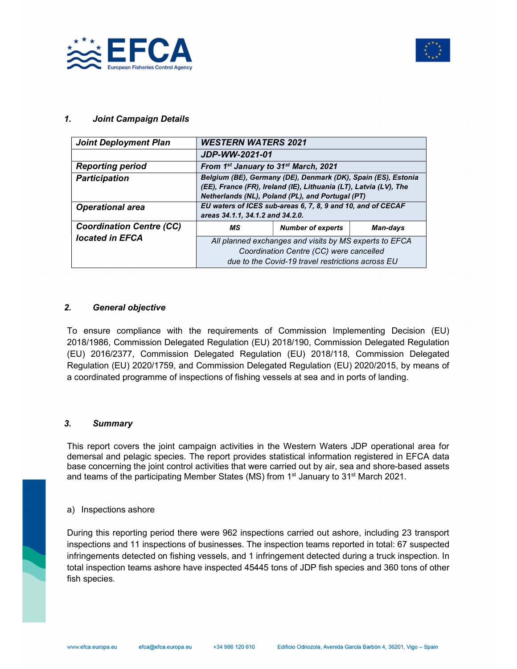



#### 1. Joint Campaign Details

| <b>Joint Deployment Plan</b>    | <b>WESTERN WATERS 2021</b>                                    |                                                                   |                 |  |  |
|---------------------------------|---------------------------------------------------------------|-------------------------------------------------------------------|-----------------|--|--|
|                                 | JDP-WW-2021-01                                                |                                                                   |                 |  |  |
| <b>Reporting period</b>         | From 1st January to 31st March, 2021                          |                                                                   |                 |  |  |
| <b>Participation</b>            | Belgium (BE), Germany (DE), Denmark (DK), Spain (ES), Estonia |                                                                   |                 |  |  |
|                                 |                                                               | (EE), France (FR), Ireland (IE), Lithuania (LT), Latvia (LV), The |                 |  |  |
|                                 |                                                               | Netherlands (NL), Poland (PL), and Portugal (PT)                  |                 |  |  |
| <b>Operational area</b>         |                                                               | EU waters of ICES sub-areas 6, 7, 8, 9 and 10, and of CECAF       |                 |  |  |
|                                 | areas 34.1.1, 34.1.2 and 34.2.0.                              |                                                                   |                 |  |  |
|                                 |                                                               |                                                                   |                 |  |  |
| <b>Coordination Centre (CC)</b> | МS                                                            | <b>Number of experts</b>                                          | <b>Man-days</b> |  |  |
| located in EFCA                 |                                                               | All planned exchanges and visits by MS experts to EFCA            |                 |  |  |
|                                 |                                                               | Coordination Centre (CC) were cancelled                           |                 |  |  |

#### 2. General objective

To ensure compliance with the requirements of Commission Implementing Decision (EU) 2018/1986, Commission Delegated Regulation (EU) 2018/190, Commission Delegated Regulation (EU) 2016/2377, Commission Delegated Regulation (EU) 2018/118, Commission Delegated Regulation (EU) 2020/1759, and Commission Delegated Regulation (EU) 2020/2015, by means of a coordinated programme of inspections of fishing vessels at sea and in ports of landing.

### 3. Summary

This report covers the joint campaign activities in the Western Waters JDP operational area for demersal and pelagic species. The report provides statistical information registered in EFCA data base concerning the joint control activities that were carried out by air, sea and shore-based assets and teams of the participating Member States (MS) from  $1<sup>st</sup>$  January to 31<sup>st</sup> March 2021.

#### a) Inspections ashore

During this reporting period there were 962 inspections carried out ashore, including 23 transport inspections and 11 inspections of businesses. The inspection teams reported in total: 67 suspected infringements detected on fishing vessels, and 1 infringement detected during a truck inspection. In total inspection teams ashore have inspected 45445 tons of JDP fish species and 360 tons of other fish species.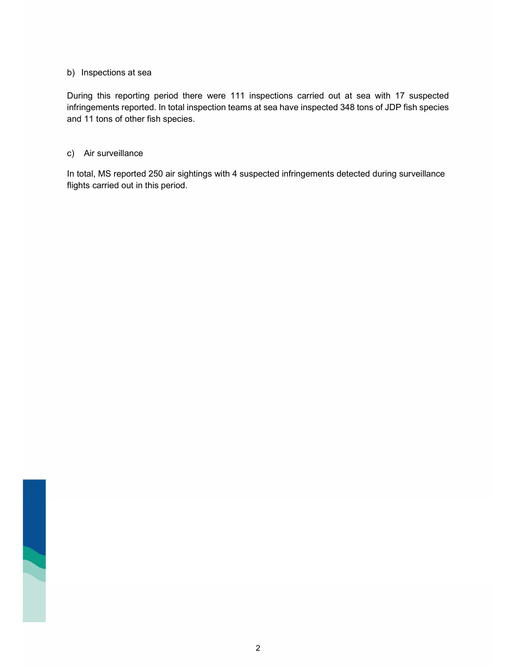#### b) Inspections at sea

During this reporting period there were 111 inspections carried out at sea with 17 suspected infringements reported. In total inspection teams at sea have inspected 348 tons of JDP fish species and 11 tons of other fish species.

#### c) Air surveillance

In total, MS reported 250 air sightings with 4 suspected infringements detected during surveillance flights carried out in this period.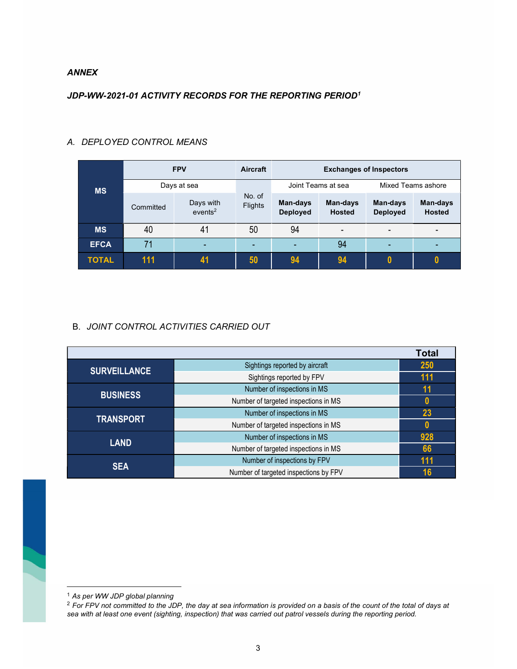#### ANNEX

## JDP-WW-2021-01 ACTIVITY RECORDS FOR THE REPORTING PERIOD<sup>1</sup>

| <b>MS</b>    | <b>FPV</b>  |                                  | <b>Aircraft</b>   | <b>Exchanges of Inspectors</b> |                           |                             |                           |
|--------------|-------------|----------------------------------|-------------------|--------------------------------|---------------------------|-----------------------------|---------------------------|
|              | Days at sea |                                  |                   | Joint Teams at sea             |                           | Mixed Teams ashore          |                           |
|              | Committed   | Days with<br>events <sup>2</sup> | No. of<br>Flights | Man-days<br><b>Deployed</b>    | Man-days<br><b>Hosted</b> | Man-days<br><b>Deployed</b> | Man-days<br><b>Hosted</b> |
| <b>MS</b>    | 40          | 41                               | 50                | 94                             | $\blacksquare$            |                             |                           |
| <b>EFCA</b>  | 71          |                                  |                   |                                | 94                        |                             |                           |
| <b>TOTAL</b> | 111         |                                  | 50                | 94                             | 94                        | N                           |                           |

## A. DEPLOYED CONTROL MEANS

## B. JOINT CONTROL ACTIVITIES CARRIED OUT

| <b>SURVEILLANCE</b> | Sightings reported by aircraft        | 250 |  |  |
|---------------------|---------------------------------------|-----|--|--|
|                     | Sightings reported by FPV             | 111 |  |  |
|                     | Number of inspections in MS           | 11  |  |  |
| <b>BUSINESS</b>     | Number of targeted inspections in MS  |     |  |  |
|                     | Number of inspections in MS           | 23  |  |  |
| <b>TRANSPORT</b>    | Number of targeted inspections in MS  |     |  |  |
| <b>LAND</b>         | Number of inspections in MS           | 928 |  |  |
|                     | Number of targeted inspections in MS  | 66  |  |  |
| <b>SEA</b>          | Number of inspections by FPV          | 111 |  |  |
|                     | Number of targeted inspections by FPV |     |  |  |

<sup>1</sup> As per WW JDP global planning

<sup>&</sup>lt;sup>2</sup> For FPV not committed to the JDP, the day at sea information is provided on a basis of the count of the total of days at sea with at least one event (sighting, inspection) that was carried out patrol vessels during the reporting period.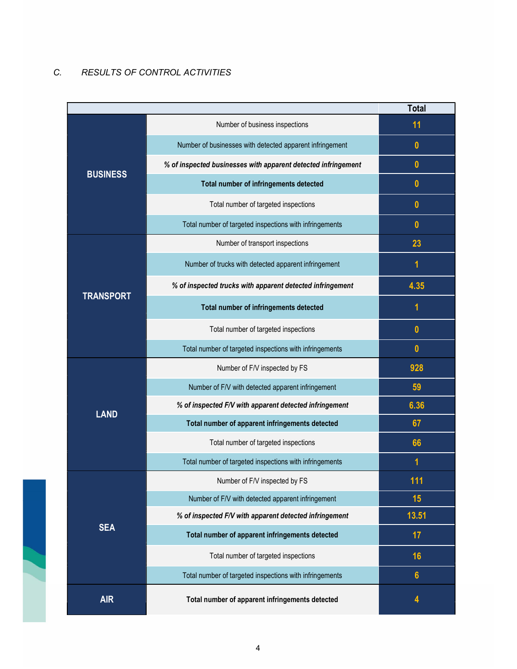# C. RESULTS OF CONTROL ACTIVITIES

i.

|                  |                                                               | <b>Total</b>     |
|------------------|---------------------------------------------------------------|------------------|
|                  | Number of business inspections                                | 11               |
|                  | Number of businesses with detected apparent infringement      | $\mathbf{0}$     |
|                  | % of inspected businesses with apparent detected infringement | $\mathbf{0}$     |
| <b>BUSINESS</b>  | Total number of infringements detected                        | $\bf{0}$         |
|                  | Total number of targeted inspections                          | $\boldsymbol{0}$ |
|                  | Total number of targeted inspections with infringements       | $\mathbf{0}$     |
|                  | Number of transport inspections                               | 23               |
|                  | Number of trucks with detected apparent infringement          | 1                |
|                  | % of inspected trucks with apparent detected infringement     | 4.35             |
| <b>TRANSPORT</b> | Total number of infringements detected                        | 1                |
|                  | Total number of targeted inspections                          | $\mathbf{0}$     |
|                  | Total number of targeted inspections with infringements       | $\mathbf{0}$     |
|                  | Number of F/V inspected by FS                                 | 928              |
|                  | Number of F/V with detected apparent infringement             | 59               |
|                  | % of inspected F/V with apparent detected infringement        | 6.36             |
| <b>LAND</b>      | Total number of apparent infringements detected               | 67               |
|                  | Total number of targeted inspections                          | 66               |
|                  | Total number of targeted inspections with infringements       | 1                |
|                  | Number of F/V inspected by FS                                 | 111              |
|                  | Number of F/V with detected apparent infringement             | 15               |
|                  | % of inspected F/V with apparent detected infringement        | 13.51            |
| <b>SEA</b>       | Total number of apparent infringements detected               | 17               |
|                  | Total number of targeted inspections                          | 16               |
|                  | Total number of targeted inspections with infringements       | $6\phantom{1}$   |
| <b>AIR</b>       | Total number of apparent infringements detected               | 4                |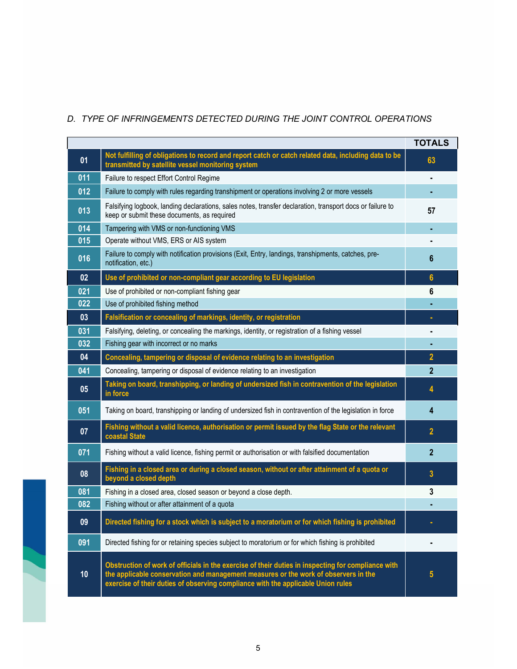# D. TYPE OF INFRINGEMENTS DETECTED DURING THE JOINT CONTROL OPERATIONS

|     |                                                                                                                                                                                                                                                                               | <b>TOTALS</b>   |
|-----|-------------------------------------------------------------------------------------------------------------------------------------------------------------------------------------------------------------------------------------------------------------------------------|-----------------|
| 01  | Not fulfilling of obligations to record and report catch or catch related data, including data to be<br>transmitted by satellite vessel monitoring system                                                                                                                     | 63              |
| 011 | Failure to respect Effort Control Regime                                                                                                                                                                                                                                      |                 |
| 012 | Failure to comply with rules regarding transhipment or operations involving 2 or more vessels                                                                                                                                                                                 |                 |
| 013 | Falsifying logbook, landing declarations, sales notes, transfer declaration, transport docs or failure to<br>keep or submit these documents, as required                                                                                                                      | 57              |
| 014 | Tampering with VMS or non-functioning VMS                                                                                                                                                                                                                                     |                 |
| 015 | Operate without VMS, ERS or AIS system                                                                                                                                                                                                                                        |                 |
| 016 | Failure to comply with notification provisions (Exit, Entry, landings, transhipments, catches, pre-<br>notification, etc.)                                                                                                                                                    | 6               |
| 02  | Use of prohibited or non-compliant gear according to EU legislation                                                                                                                                                                                                           | $6\phantom{1}6$ |
| 021 | Use of prohibited or non-compliant fishing gear                                                                                                                                                                                                                               | 6               |
| 022 | Use of prohibited fishing method                                                                                                                                                                                                                                              |                 |
| 03  | Falsification or concealing of markings, identity, or registration                                                                                                                                                                                                            |                 |
| 031 | Falsifying, deleting, or concealing the markings, identity, or registration of a fishing vessel                                                                                                                                                                               |                 |
| 032 | Fishing gear with incorrect or no marks                                                                                                                                                                                                                                       |                 |
| 04  | Concealing, tampering or disposal of evidence relating to an investigation                                                                                                                                                                                                    | $\overline{2}$  |
| 041 | Concealing, tampering or disposal of evidence relating to an investigation                                                                                                                                                                                                    | $\mathbf{2}$    |
| 05  | Taking on board, transhipping, or landing of undersized fish in contravention of the legislation<br>in force                                                                                                                                                                  | 4               |
| 051 | Taking on board, transhipping or landing of undersized fish in contravention of the legislation in force                                                                                                                                                                      | 4               |
| 07  | Fishing without a valid licence, authorisation or permit issued by the flag State or the relevant<br>coastal State                                                                                                                                                            | $\mathbf{2}$    |
| 071 | Fishing without a valid licence, fishing permit or authorisation or with falsified documentation                                                                                                                                                                              | $\mathbf{2}$    |
| 08  | Fishing in a closed area or during a closed season, without or after attainment of a quota or<br>beyond a closed depth                                                                                                                                                        | 3               |
| 081 | Fishing in a closed area, closed season or beyond a close depth.                                                                                                                                                                                                              | 3               |
| 082 | Fishing without or after attainment of a quota                                                                                                                                                                                                                                |                 |
| 09  | Directed fishing for a stock which is subject to a moratorium or for which fishing is prohibited                                                                                                                                                                              |                 |
| 091 | Directed fishing for or retaining species subject to moratorium or for which fishing is prohibited                                                                                                                                                                            |                 |
| 10  | Obstruction of work of officials in the exercise of their duties in inspecting for compliance with<br>the applicable conservation and management measures or the work of observers in the<br>exercise of their duties of observing compliance with the applicable Union rules | 5               |